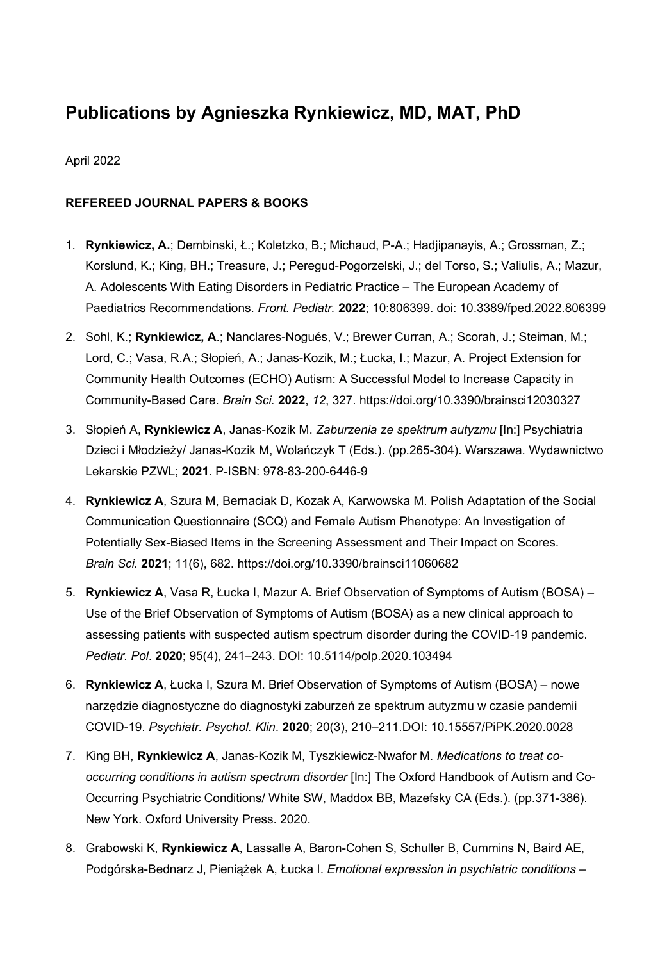# **Publications by Agnieszka Rynkiewicz, MD, MAT, PhD**

## April 2022

# **REFEREED JOURNAL PAPERS & BOOKS**

- 1. **Rynkiewicz, A.**; Dembinski, Ł.; Koletzko, B.; Michaud, P-A.; Hadjipanayis, A.; Grossman, Z.; Korslund, K.; King, BH.; Treasure, J.; Peregud-Pogorzelski, J.; del Torso, S.; Valiulis, A.; Mazur, A. Adolescents With Eating Disorders in Pediatric Practice – The European Academy of Paediatrics Recommendations. *Front. Pediatr.* **2022**; 10:806399. doi: 10.3389/fped.2022.806399
- 2. Sohl, K.; **Rynkiewicz, A**.; Nanclares-Nogués, V.; Brewer Curran, A.; Scorah, J.; Steiman, M.; Lord, C.; Vasa, R.A.; Słopień, A.; Janas-Kozik, M.; Łucka, I.; Mazur, A. Project Extension for Community Health Outcomes (ECHO) Autism: A Successful Model to Increase Capacity in Community-Based Care. *Brain Sci.* **2022**, *12*, 327. https://doi.org/10.3390/brainsci12030327
- 3. Słopień A, **Rynkiewicz A**, Janas-Kozik M. *Zaburzenia ze spektrum autyzmu* [In:] Psychiatria Dzieci i Młodzieży/ Janas-Kozik M, Wolańczyk T (Eds.). (pp.265-304). Warszawa. Wydawnictwo Lekarskie PZWL; **2021**. P-ISBN: 978-83-200-6446-9
- 4. **Rynkiewicz A**, Szura M, Bernaciak D, Kozak A, Karwowska M. Polish Adaptation of the Social Communication Questionnaire (SCQ) and Female Autism Phenotype: An Investigation of Potentially Sex-Biased Items in the Screening Assessment and Their Impact on Scores. *Brain Sci.* **2021**; 11(6), 682. https://doi.org/10.3390/brainsci11060682
- 5. **Rynkiewicz A**, Vasa R, Łucka I, Mazur A. Brief Observation of Symptoms of Autism (BOSA) Use of the Brief Observation of Symptoms of Autism (BOSA) as a new clinical approach to assessing patients with suspected autism spectrum disorder during the COVID-19 pandemic. *Pediatr. Pol*. **2020**; 95(4), 241–243. DOI: 10.5114/polp.2020.103494
- 6. **Rynkiewicz A**, Łucka I, Szura M. Brief Observation of Symptoms of Autism (BOSA) nowe narzędzie diagnostyczne do diagnostyki zaburzeń ze spektrum autyzmu w czasie pandemii COVID-19. *Psychiatr. Psychol. Klin*. **2020**; 20(3), 210–211.DOI: 10.15557/PiPK.2020.0028
- 7. King BH, **Rynkiewicz A**, Janas-Kozik M, Tyszkiewicz-Nwafor M. *Medications to treat cooccurring conditions in autism spectrum disorder* [In:] The Oxford Handbook of Autism and Co-Occurring Psychiatric Conditions/ White SW, Maddox BB, Mazefsky CA (Eds.). (pp.371-386). New York. Oxford University Press. 2020.
- 8. Grabowski K, **Rynkiewicz A**, Lassalle A, Baron-Cohen S, Schuller B, Cummins N, Baird AE, Podgórska-Bednarz J, Pieniążek A, Łucka I. *Emotional expression in psychiatric conditions –*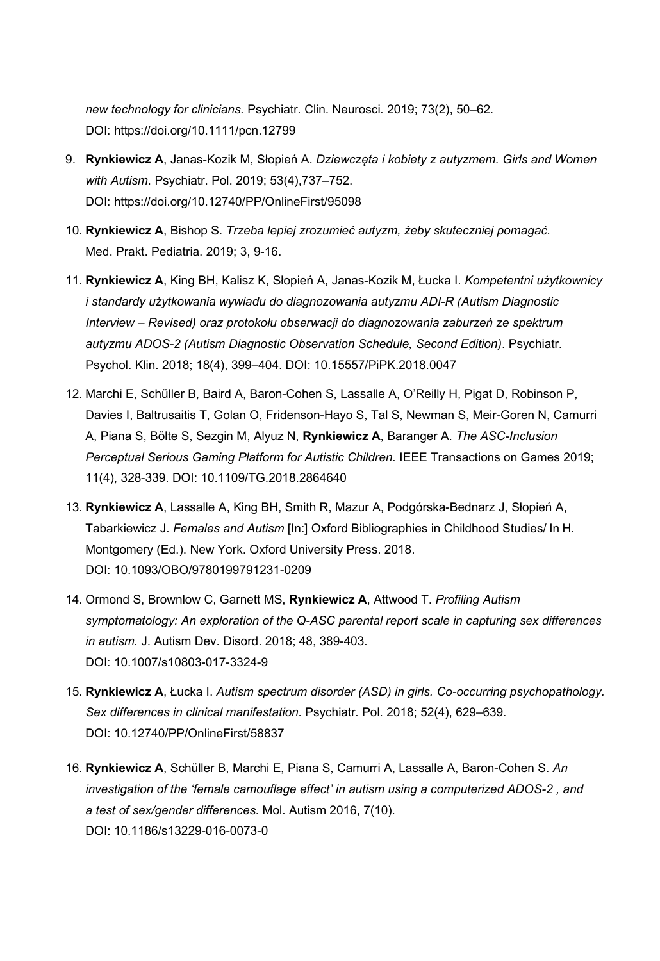*new technology for clinicians.* Psychiatr. Clin. Neurosci*.* 2019; 73(2), 50–62. DOI: https://doi.org/10.1111/pcn.12799

- 9. **Rynkiewicz A**, Janas-Kozik M, Słopień A. *Dziewczęta i kobiety z autyzmem. Girls and Women with Autism*. Psychiatr. Pol. 2019; 53(4),737–752. DOI: https://doi.org/10.12740/PP/OnlineFirst/95098
- 10. **Rynkiewicz A**, Bishop S. *Trzeba lepiej zrozumieć autyzm, żeby skuteczniej pomagać.* Med. Prakt. Pediatria. 2019; 3, 9-16.
- 11. **Rynkiewicz A**, King BH, Kalisz K, Słopień A, Janas-Kozik M, Łucka I. *Kompetentni użytkownicy i standardy użytkowania wywiadu do diagnozowania autyzmu ADI-R (Autism Diagnostic Interview – Revised) oraz protokołu obserwacji do diagnozowania zaburzeń ze spektrum autyzmu ADOS-2 (Autism Diagnostic Observation Schedule, Second Edition)*. Psychiatr. Psychol. Klin. 2018; 18(4), 399–404. DOI: 10.15557/PiPK.2018.0047
- 12. Marchi E, Schüller B, Baird A, Baron-Cohen S, Lassalle A, O'Reilly H, Pigat D, Robinson P, Davies I, Baltrusaitis T, Golan O, Fridenson-Hayo S, Tal S, Newman S, Meir-Goren N, Camurri A, Piana S, Bӧlte S, Sezgin M, Alyuz N, **Rynkiewicz A**, Baranger A. *The ASC-Inclusion Perceptual Serious Gaming Platform for Autistic Children.* IEEE Transactions on Games 2019; 11(4), 328-339. DOI: 10.1109/TG.2018.2864640
- 13. **Rynkiewicz A**, Lassalle A, King BH, Smith R, Mazur A, Podgórska-Bednarz J, Słopień A, Tabarkiewicz J. *Females and Autism* [In:] Oxford Bibliographies in Childhood Studies/ In H. Montgomery (Ed.). New York. Oxford University Press. 2018. DOI: 10.1093/OBO/9780199791231-0209
- 14. Ormond S, Brownlow C, Garnett MS, **Rynkiewicz A**, Attwood T. *Profiling Autism symptomatology: An exploration of the Q-ASC parental report scale in capturing sex differences in autism.* J. Autism Dev. Disord. 2018; 48, 389-403. DOI: 10.1007/s10803-017-3324-9
- 15. **Rynkiewicz A**, Łucka I. *Autism spectrum disorder (ASD) in girls. Co-occurring psychopathology. Sex differences in clinical manifestation.* Psychiatr. Pol. 2018; 52(4), 629–639. DOI: 10.12740/PP/OnlineFirst/58837
- 16. **Rynkiewicz A**, Schüller B, Marchi E, Piana S, Camurri A, Lassalle A, Baron-Cohen S. *An investigation of the 'female camouflage effect' in autism using a computerized ADOS-2 , and a test of sex/gender differences.* Mol. Autism 2016, 7(10). DOI: 10.1186/s13229-016-0073-0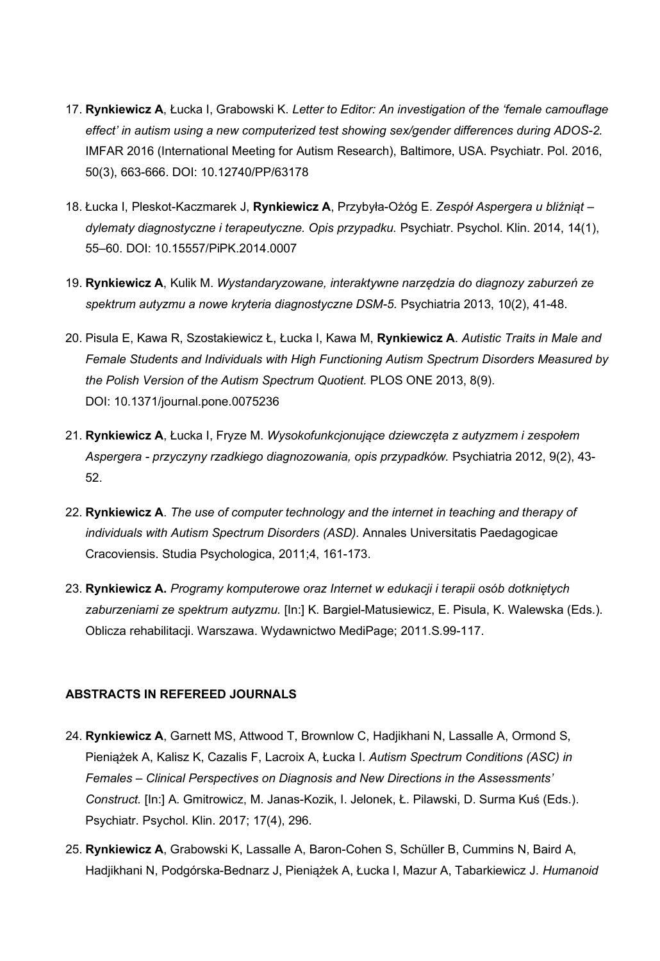- 17. **Rynkiewicz A**, Łucka I, Grabowski K. *Letter to Editor: An investigation of the 'female camouflage effect' in autism using a new computerized test showing sex/gender differences during ADOS-2.* IMFAR 2016 (International Meeting for Autism Research), Baltimore, USA. Psychiatr. Pol. 2016, 50(3), 663-666. DOI: 10.12740/PP/63178
- 18. Łucka I, Pleskot-Kaczmarek J, **Rynkiewicz A**, Przybyła-Ożóg E. *Zespół Aspergera u bliźniąt – dylematy diagnostyczne i terapeutyczne. Opis przypadku.* Psychiatr. Psychol. Klin. 2014, 14(1), 55–60. DOI: 10.15557/PiPK.2014.0007
- 19. **Rynkiewicz A**, Kulik M. *Wystandaryzowane, interaktywne narzędzia do diagnozy zaburzeń ze spektrum autyzmu a nowe kryteria diagnostyczne DSM-5.* Psychiatria 2013, 10(2), 41-48.
- 20. Pisula E, Kawa R, Szostakiewicz Ł, Łucka I, Kawa M, **Rynkiewicz A**. *Autistic Traits in Male and Female Students and Individuals with High Functioning Autism Spectrum Disorders Measured by the Polish Version of the Autism Spectrum Quotient.* PLOS ONE 2013, 8(9). DOI: 10.1371/journal.pone.0075236
- 21. **Rynkiewicz A**, Łucka I, Fryze M. *Wysokofunkcjonujące dziewczęta z autyzmem i zespołem Aspergera - przyczyny rzadkiego diagnozowania, opis przypadków.* Psychiatria 2012, 9(2), 43- 52.
- 22. **Rynkiewicz A**. *The use of computer technology and the internet in teaching and therapy of individuals with Autism Spectrum Disorders (ASD).* Annales Universitatis Paedagogicae Cracoviensis. Studia Psychologica, 2011;4, 161-173.
- 23. **Rynkiewicz A.** *Programy komputerowe oraz Internet w edukacji i terapii osób dotkniętych zaburzeniami ze spektrum autyzmu.* [In:] K. Bargiel-Matusiewicz, E. Pisula, K. Walewska (Eds.). Oblicza rehabilitacji. Warszawa. Wydawnictwo MediPage; 2011.S.99-117.

#### **ABSTRACTS IN REFEREED JOURNALS**

- 24. **Rynkiewicz A**, Garnett MS, Attwood T, Brownlow C, Hadjikhani N, Lassalle A, Ormond S, Pieniążek A, Kalisz K, Cazalis F, Lacroix A, Łucka I. *Autism Spectrum Conditions (ASC) in Females – Clinical Perspectives on Diagnosis and New Directions in the Assessments' Construct.* [In:] A. Gmitrowicz, M. Janas-Kozik, I. Jelonek, Ł. Pilawski, D. Surma Kuś (Eds.). Psychiatr. Psychol. Klin. 2017; 17(4), 296.
- 25. **Rynkiewicz A**, Grabowski K, Lassalle A, Baron-Cohen S, Schüller B, Cummins N, Baird A, Hadjikhani N, Podgórska-Bednarz J, Pieniążek A, Łucka I, Mazur A, Tabarkiewicz J. *Humanoid*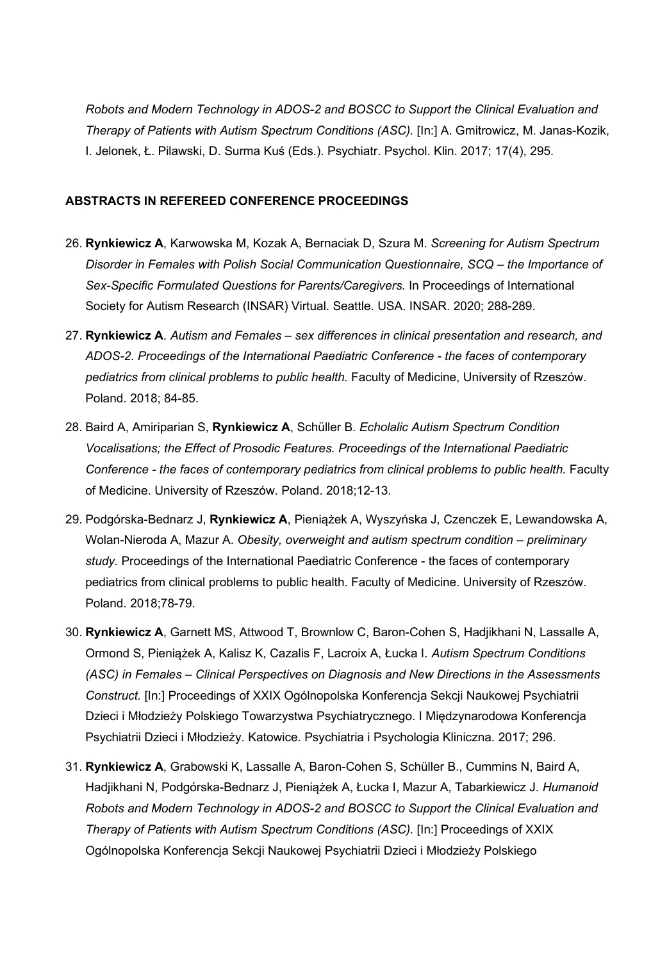*Robots and Modern Technology in ADOS-2 and BOSCC to Support the Clinical Evaluation and Therapy of Patients with Autism Spectrum Conditions (ASC).* [In:] A. Gmitrowicz, M. Janas-Kozik, I. Jelonek, Ł. Pilawski, D. Surma Kuś (Eds.). Psychiatr. Psychol. Klin. 2017; 17(4), 295.

#### **ABSTRACTS IN REFEREED CONFERENCE PROCEEDINGS**

- 26. **Rynkiewicz A**, Karwowska M, Kozak A, Bernaciak D, Szura M. *Screening for Autism Spectrum Disorder in Females with Polish Social Communication Questionnaire, SCQ – the Importance of Sex-Specific Formulated Questions for Parents/Caregivers.* In Proceedings of International Society for Autism Research (INSAR) Virtual. Seattle. USA. INSAR. 2020; 288-289.
- 27. **Rynkiewicz A**. *Autism and Females – sex differences in clinical presentation and research, and ADOS-2. Proceedings of the International Paediatric Conference - the faces of contemporary pediatrics from clinical problems to public health.* Faculty of Medicine, University of Rzeszów. Poland. 2018; 84-85.
- 28. Baird A, Amiriparian S, **Rynkiewicz A**, Schüller B. *Echolalic Autism Spectrum Condition Vocalisations; the Effect of Prosodic Features. Proceedings of the International Paediatric Conference - the faces of contemporary pediatrics from clinical problems to public health.* Faculty of Medicine. University of Rzeszów. Poland. 2018;12-13.
- 29. Podgórska-Bednarz J, **Rynkiewicz A**, Pieniążek A, Wyszyńska J, Czenczek E, Lewandowska A, Wolan-Nieroda A, Mazur A. *Obesity, overweight and autism spectrum condition – preliminary study.* Proceedings of the International Paediatric Conference - the faces of contemporary pediatrics from clinical problems to public health. Faculty of Medicine. University of Rzeszów. Poland. 2018;78-79.
- 30. **Rynkiewicz A**, Garnett MS, Attwood T, Brownlow C, Baron-Cohen S, Hadjikhani N, Lassalle A, Ormond S, Pieniążek A, Kalisz K, Cazalis F, Lacroix A, Łucka I. *Autism Spectrum Conditions (ASC) in Females – Clinical Perspectives on Diagnosis and New Directions in the Assessments Construct.* [In:] Proceedings of XXIX Ogólnopolska Konferencja Sekcji Naukowej Psychiatrii Dzieci i Młodzieży Polskiego Towarzystwa Psychiatrycznego. I Międzynarodowa Konferencja Psychiatrii Dzieci i Młodzieży. Katowice. Psychiatria i Psychologia Kliniczna. 2017; 296.
- 31. **Rynkiewicz A**, Grabowski K, Lassalle A, Baron-Cohen S, Schüller B., Cummins N, Baird A, Hadjikhani N, Podgórska-Bednarz J, Pieniążek A, Łucka I, Mazur A, Tabarkiewicz J. *Humanoid Robots and Modern Technology in ADOS-2 and BOSCC to Support the Clinical Evaluation and Therapy of Patients with Autism Spectrum Conditions (ASC).* [In:] Proceedings of XXIX Ogólnopolska Konferencja Sekcji Naukowej Psychiatrii Dzieci i Młodzieży Polskiego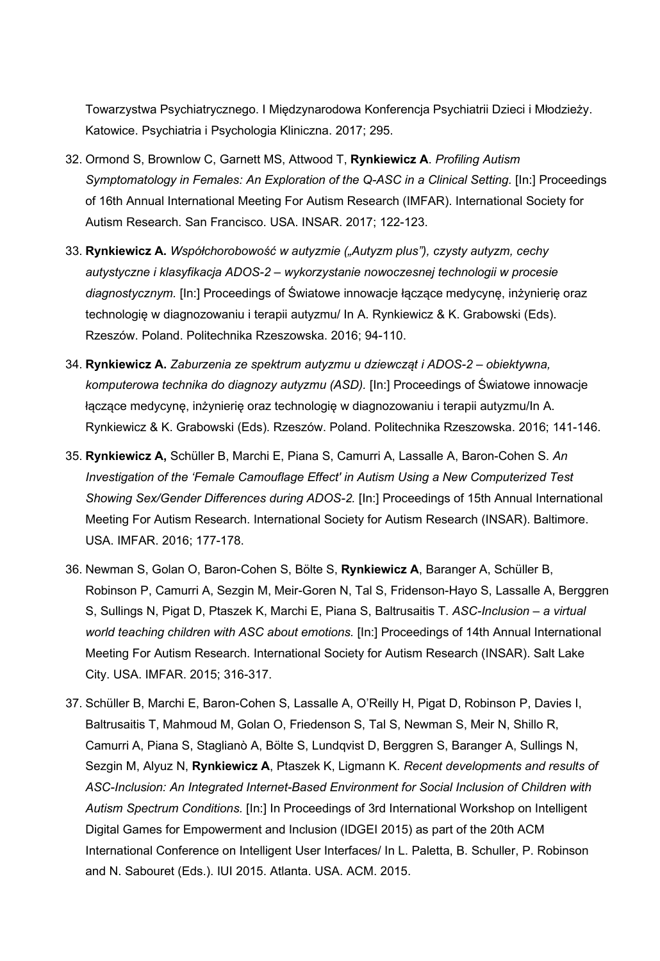Towarzystwa Psychiatrycznego. I Międzynarodowa Konferencja Psychiatrii Dzieci i Młodzieży. Katowice. Psychiatria i Psychologia Kliniczna. 2017; 295.

- 32. Ormond S, Brownlow C, Garnett MS, Attwood T, **Rynkiewicz A**. *Profiling Autism Symptomatology in Females: An Exploration of the Q-ASC in a Clinical Setting.* [In:] Proceedings of 16th Annual International Meeting For Autism Research (IMFAR). International Society for Autism Research. San Francisco. USA. INSAR. 2017; 122-123.
- 33. **Rynkiewicz A.** *Współchorobowość w autyzmie ("Autyzm plus"), czysty autyzm, cechy autystyczne i klasyfikacja ADOS-2 – wykorzystanie nowoczesnej technologii w procesie diagnostycznym.* [In:] Proceedings of Światowe innowacje łączące medycynę, inżynierię oraz technologię w diagnozowaniu i terapii autyzmu/ In A. Rynkiewicz & K. Grabowski (Eds). Rzeszów. Poland. Politechnika Rzeszowska. 2016; 94-110.
- 34. **Rynkiewicz A.** *Zaburzenia ze spektrum autyzmu u dziewcząt i ADOS-2 – obiektywna, komputerowa technika do diagnozy autyzmu (ASD).* [In:] Proceedings of Światowe innowacje łączące medycynę, inżynierię oraz technologię w diagnozowaniu i terapii autyzmu/In A. Rynkiewicz & K. Grabowski (Eds). Rzeszów. Poland. Politechnika Rzeszowska. 2016; 141-146.
- 35. **Rynkiewicz A,** Schüller B, Marchi E, Piana S, Camurri A, Lassalle A, Baron-Cohen S. *An Investigation of the 'Female Camouflage Effect' in Autism Using a New Computerized Test Showing Sex/Gender Differences during ADOS-2.* [In:] Proceedings of 15th Annual International Meeting For Autism Research. International Society for Autism Research (INSAR). Baltimore. USA. IMFAR. 2016; 177-178.
- 36. Newman S, Golan O, Baron-Cohen S, Bölte S, **Rynkiewicz A**, Baranger A, Schüller B, Robinson P, Camurri A, Sezgin M, Meir-Goren N, Tal S, Fridenson-Hayo S, Lassalle A, Berggren S, Sullings N, Pigat D, Ptaszek K, Marchi E, Piana S, Baltrusaitis T. *ASC-Inclusion – a virtual world teaching children with ASC about emotions.* [In:] Proceedings of 14th Annual International Meeting For Autism Research. International Society for Autism Research (INSAR). Salt Lake City. USA. IMFAR. 2015; 316-317.
- 37. Schüller B, Marchi E, Baron-Cohen S, Lassalle A, O'Reilly H, Pigat D, Robinson P, Davies I, Baltrusaitis T, Mahmoud M, Golan O, Friedenson S, Tal S, Newman S, Meir N, Shillo R, Camurri A, Piana S, Staglianò A, Bӧlte S, Lundqvist D, Berggren S, Baranger A, Sullings N, Sezgin M, Alyuz N, **Rynkiewicz A**, Ptaszek K, Ligmann K. *Recent developments and results of ASC-Inclusion: An Integrated Internet-Based Environment for Social Inclusion of Children with Autism Spectrum Conditions.* [In:] In Proceedings of 3rd International Workshop on Intelligent Digital Games for Empowerment and Inclusion (IDGEI 2015) as part of the 20th ACM International Conference on Intelligent User Interfaces/ In L. Paletta, B. Schuller, P. Robinson and N. Sabouret (Eds.). IUI 2015. Atlanta. USA. ACM. 2015.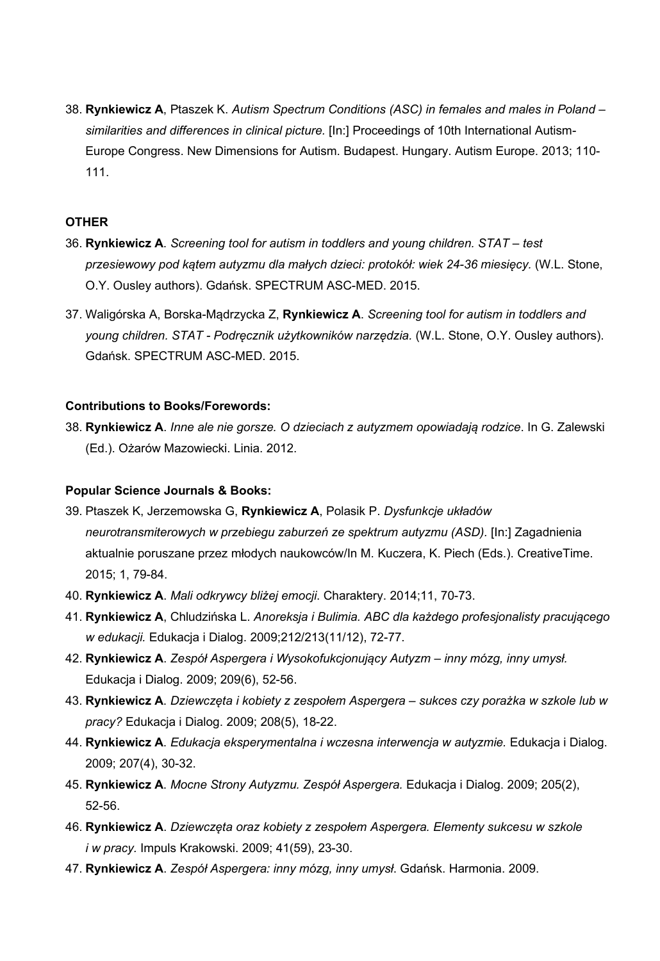38. **Rynkiewicz A**, Ptaszek K. *Autism Spectrum Conditions (ASC) in females and males in Poland – similarities and differences in clinical picture.* [In:] Proceedings of 10th International Autism-Europe Congress. New Dimensions for Autism. Budapest. Hungary. Autism Europe. 2013; 110- 111.

## **OTHER**

- 36. **Rynkiewicz A**. *Screening tool for autism in toddlers and young children. STAT – test przesiewowy pod kątem autyzmu dla małych dzieci: protokół: wiek 24-36 miesięcy.* (W.L. Stone, O.Y. Ousley authors). Gdańsk. SPECTRUM ASC-MED. 2015.
- 37. Waligórska A, Borska-Mądrzycka Z, **Rynkiewicz A**. *Screening tool for autism in toddlers and young children. STAT - Podręcznik użytkowników narzędzia.* (W.L. Stone, O.Y. Ousley authors). Gdańsk. SPECTRUM ASC-MED. 2015.

## **Contributions to Books/Forewords:**

38. **Rynkiewicz A**. *Inne ale nie gorsze. O dzieciach z autyzmem opowiadają rodzice*. In G. Zalewski (Ed.). Ożarów Mazowiecki. Linia. 2012.

## **Popular Science Journals & Books:**

- 39. Ptaszek K, Jerzemowska G, **Rynkiewicz A**, Polasik P. *Dysfunkcje układów neurotransmiterowych w przebiegu zaburzeń ze spektrum autyzmu (ASD).* [In:] Zagadnienia aktualnie poruszane przez młodych naukowców/In M. Kuczera, K. Piech (Eds.). CreativeTime. 2015; 1, 79-84.
- 40. **Rynkiewicz A**. *Mali odkrywcy bliżej emocji*. Charaktery. 2014;11, 70-73.
- 41. **Rynkiewicz A**, Chludzińska L. *Anoreksja i Bulimia. ABC dla każdego profesjonalisty pracującego w edukacji.* Edukacja i Dialog. 2009;212/213(11/12), 72-77.
- 42. **Rynkiewicz A**. *Zespół Aspergera i Wysokofukcjonujący Autyzm – inny mózg, inny umysł.* Edukacja i Dialog. 2009; 209(6), 52-56.
- 43. **Rynkiewicz A**. *Dziewczęta i kobiety z zespołem Aspergera – sukces czy porażka w szkole lub w pracy?* Edukacja i Dialog. 2009; 208(5), 18-22.
- 44. **Rynkiewicz A**. *Edukacja eksperymentalna i wczesna interwencja w autyzmie.* Edukacja i Dialog. 2009; 207(4), 30-32.
- 45. **Rynkiewicz A**. *Mocne Strony Autyzmu. Zespół Aspergera.* Edukacja i Dialog. 2009; 205(2), 52-56.
- 46. **Rynkiewicz A**. *Dziewczęta oraz kobiety z zespołem Aspergera. Elementy sukcesu w szkole i w pracy.* Impuls Krakowski. 2009; 41(59), 23-30.
- 47. **Rynkiewicz A**. *Zespół Aspergera: inny mózg, inny umysł*. Gdańsk. Harmonia. 2009.